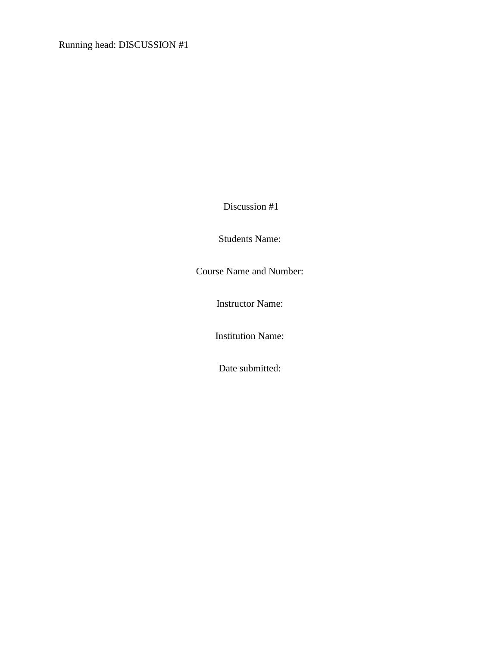Running head: DISCUSSION #1

Discussion #1

Students Name:

Course Name and Number:

Instructor Name:

Institution Name:

Date submitted: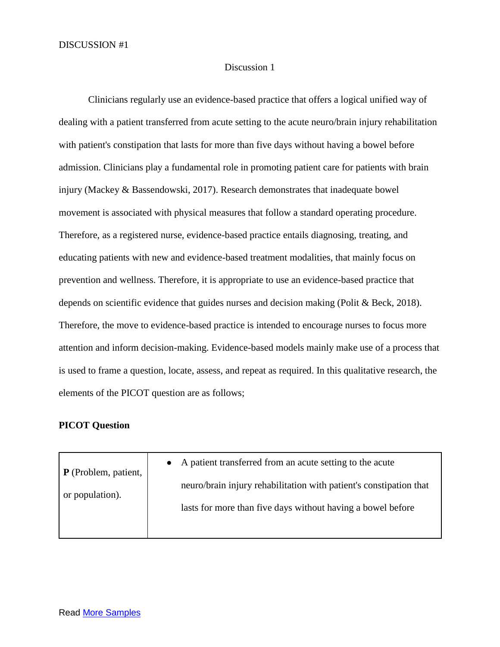## Discussion 1

Clinicians regularly use an evidence-based practice that offers a logical unified way of dealing with a patient transferred from acute setting to the acute neuro/brain injury rehabilitation with patient's constipation that lasts for more than five days without having a bowel before admission. Clinicians play a fundamental role in promoting patient care for patients with brain injury (Mackey & Bassendowski, 2017). Research demonstrates that inadequate bowel movement is associated with physical measures that follow a standard operating procedure. Therefore, as a registered nurse, evidence-based practice entails diagnosing, treating, and educating patients with new and evidence-based treatment modalities, that mainly focus on prevention and wellness. Therefore, it is appropriate to use an evidence-based practice that depends on scientific evidence that guides nurses and decision making (Polit & Beck, 2018). Therefore, the move to evidence-based practice is intended to encourage nurses to focus more attention and inform decision-making. Evidence-based models mainly make use of a process that is used to frame a question, locate, assess, and repeat as required. In this qualitative research, the elements of the PICOT question are as follows;

## **PICOT Question**

| $\mathbf{P}$ (Problem, patient,<br>or population). | • A patient transferred from an acute setting to the acute         |
|----------------------------------------------------|--------------------------------------------------------------------|
|                                                    | neuro/brain injury rehabilitation with patient's constipation that |
|                                                    | lasts for more than five days without having a bowel before        |
|                                                    |                                                                    |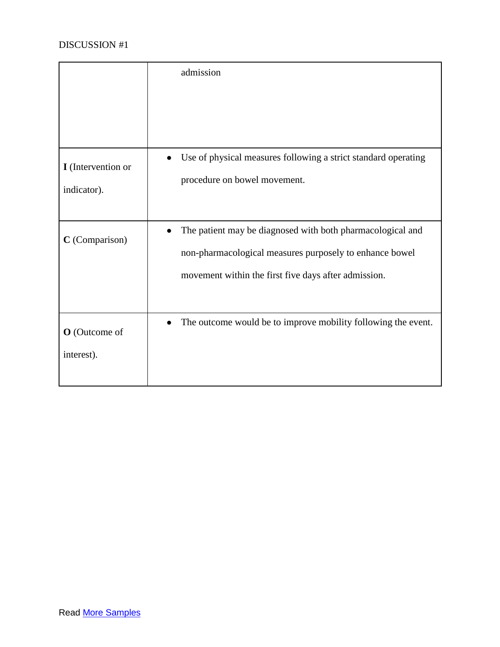|                                   | admission                                                                                                                                                                     |
|-----------------------------------|-------------------------------------------------------------------------------------------------------------------------------------------------------------------------------|
| I (Intervention or<br>indicator). | Use of physical measures following a strict standard operating<br>procedure on bowel movement.                                                                                |
| C (Comparison)                    | The patient may be diagnosed with both pharmacological and<br>non-pharmacological measures purposely to enhance bowel<br>movement within the first five days after admission. |
| O (Outcome of<br>interest).       | The outcome would be to improve mobility following the event.                                                                                                                 |